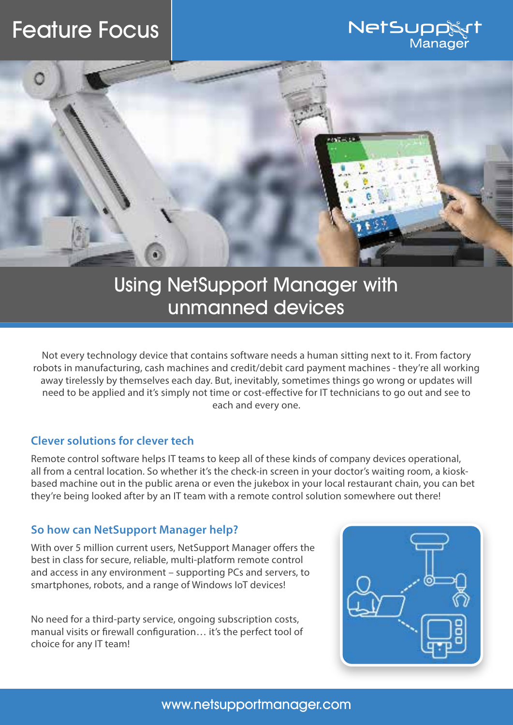# Feature Focus





## Using NetSupport Manager with unmanned devices

Not every technology device that contains software needs a human sitting next to it. From factory robots in manufacturing, cash machines and credit/debit card payment machines - they're all working away tirelessly by themselves each day. But, inevitably, sometimes things go wrong or updates will need to be applied and it's simply not time or cost-effective for IT technicians to go out and see to each and every one.

#### **Clever solutions for clever tech**

Remote control software helps IT teams to keep all of these kinds of company devices operational, all from a central location. So whether it's the check-in screen in your doctor's waiting room, a kioskbased machine out in the public arena or even the jukebox in your local restaurant chain, you can bet they're being looked after by an IT team with a remote control solution somewhere out there!

#### **So how can NetSupport Manager help?**

With over 5 million current users, NetSupport Manager offers the best in class for secure, reliable, multi-platform remote control and access in any environment – supporting PCs and servers, to smartphones, robots, and a range of Windows IoT devices!

No need for a third-party service, ongoing subscription costs, manual visits or firewall configuration… it's the perfect tool of choice for any IT team!